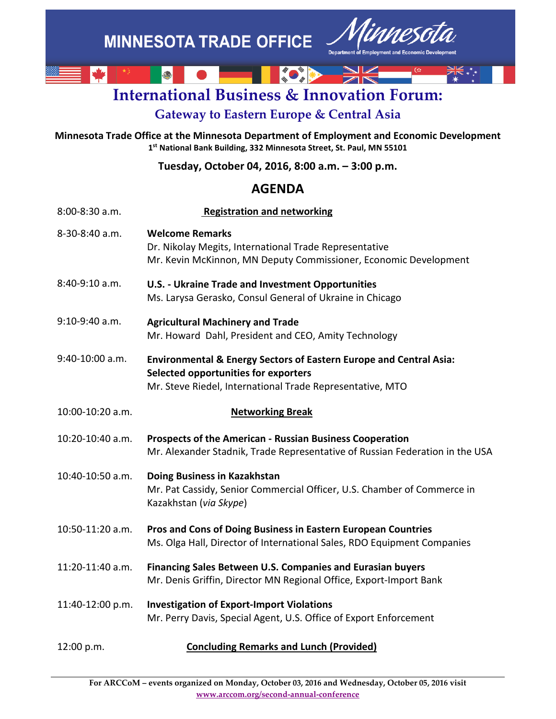

# **International Business & Innovation Forum:**

# **Gateway to Eastern Europe & Central Asia**

**Minnesota Trade Office at the Minnesota Department of Employment and Economic Development 1st National Bank Building, 332 Minnesota Street, St. Paul, MN 55101**

**Tuesday, October 04, 2016, 8:00 a.m. – 3:00 p.m.**

## **AGENDA**

| 8:00-8:30 a.m.   | <b>Registration and networking</b>                                                                                                                                                 |
|------------------|------------------------------------------------------------------------------------------------------------------------------------------------------------------------------------|
| 8-30-8:40 a.m.   | <b>Welcome Remarks</b><br>Dr. Nikolay Megits, International Trade Representative<br>Mr. Kevin McKinnon, MN Deputy Commissioner, Economic Development                               |
| 8:40-9:10 a.m.   | <b>U.S. - Ukraine Trade and Investment Opportunities</b><br>Ms. Larysa Gerasko, Consul General of Ukraine in Chicago                                                               |
| 9:10-9:40 a.m.   | <b>Agricultural Machinery and Trade</b><br>Mr. Howard Dahl, President and CEO, Amity Technology                                                                                    |
| 9:40-10:00 a.m.  | <b>Environmental &amp; Energy Sectors of Eastern Europe and Central Asia:</b><br>Selected opportunities for exporters<br>Mr. Steve Riedel, International Trade Representative, MTO |
| 10:00-10:20 a.m. | <b>Networking Break</b>                                                                                                                                                            |
| 10:20-10:40 a.m. | Prospects of the American - Russian Business Cooperation<br>Mr. Alexander Stadnik, Trade Representative of Russian Federation in the USA                                           |
| 10:40-10:50 a.m. | Doing Business in Kazakhstan<br>Mr. Pat Cassidy, Senior Commercial Officer, U.S. Chamber of Commerce in<br>Kazakhstan (via Skype)                                                  |
| 10:50-11:20 a.m. | Pros and Cons of Doing Business in Eastern European Countries<br>Ms. Olga Hall, Director of International Sales, RDO Equipment Companies                                           |
| 11:20-11:40 a.m. | Financing Sales Between U.S. Companies and Eurasian buyers<br>Mr. Denis Griffin, Director MN Regional Office, Export-Import Bank                                                   |
| 11:40-12:00 p.m. | <b>Investigation of Export-Import Violations</b><br>Mr. Perry Davis, Special Agent, U.S. Office of Export Enforcement                                                              |
| 12:00 p.m.       | <b>Concluding Remarks and Lunch (Provided)</b>                                                                                                                                     |